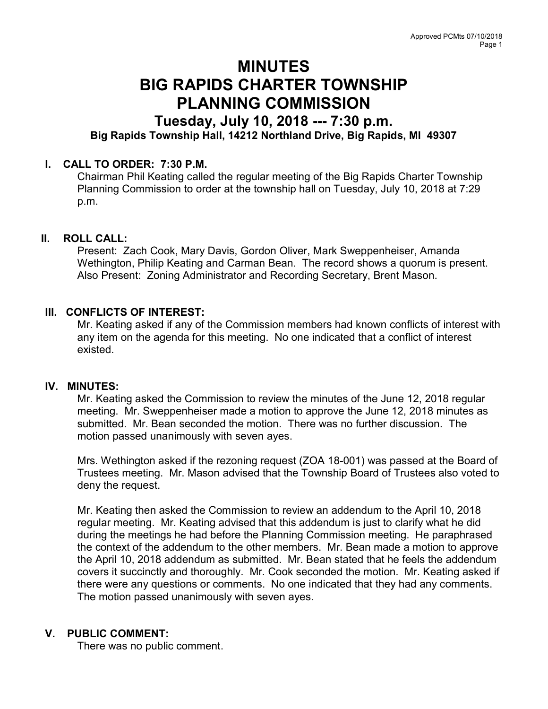# MINUTES BIG RAPIDS CHARTER TOWNSHIP PLANNING COMMISSION

# Tuesday, July 10, 2018 --- 7:30 p.m. Big Rapids Township Hall, 14212 Northland Drive, Big Rapids, MI 49307

# I. CALL TO ORDER: 7:30 P.M.

Chairman Phil Keating called the regular meeting of the Big Rapids Charter Township Planning Commission to order at the township hall on Tuesday, July 10, 2018 at 7:29 p.m.

# II. ROLL CALL:

Present: Zach Cook, Mary Davis, Gordon Oliver, Mark Sweppenheiser, Amanda Wethington, Philip Keating and Carman Bean. The record shows a quorum is present. Also Present: Zoning Administrator and Recording Secretary, Brent Mason.

# III. CONFLICTS OF INTEREST:

Mr. Keating asked if any of the Commission members had known conflicts of interest with any item on the agenda for this meeting. No one indicated that a conflict of interest existed.

# IV. MINUTES:

Mr. Keating asked the Commission to review the minutes of the June 12, 2018 regular meeting. Mr. Sweppenheiser made a motion to approve the June 12, 2018 minutes as submitted. Mr. Bean seconded the motion. There was no further discussion. The motion passed unanimously with seven ayes.

Mrs. Wethington asked if the rezoning request (ZOA 18-001) was passed at the Board of Trustees meeting. Mr. Mason advised that the Township Board of Trustees also voted to deny the request.

Mr. Keating then asked the Commission to review an addendum to the April 10, 2018 regular meeting. Mr. Keating advised that this addendum is just to clarify what he did during the meetings he had before the Planning Commission meeting. He paraphrased the context of the addendum to the other members. Mr. Bean made a motion to approve the April 10, 2018 addendum as submitted. Mr. Bean stated that he feels the addendum covers it succinctly and thoroughly. Mr. Cook seconded the motion. Mr. Keating asked if there were any questions or comments. No one indicated that they had any comments. The motion passed unanimously with seven ayes.

# V. PUBLIC COMMENT:

There was no public comment.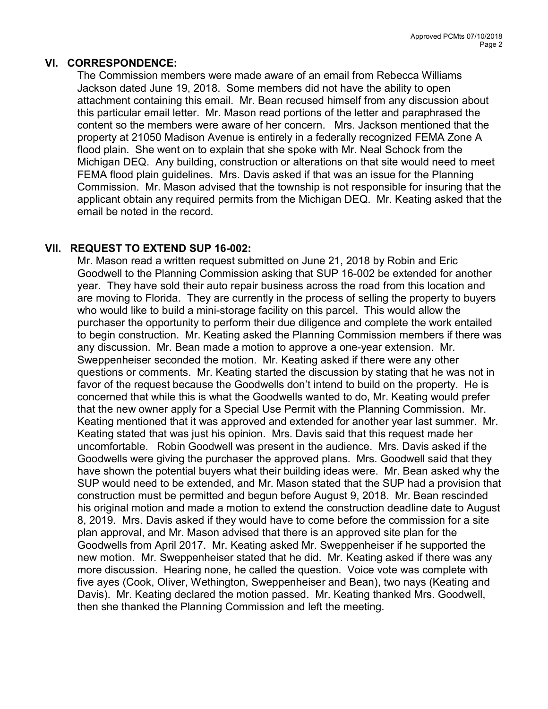#### VI. CORRESPONDENCE:

The Commission members were made aware of an email from Rebecca Williams Jackson dated June 19, 2018. Some members did not have the ability to open attachment containing this email. Mr. Bean recused himself from any discussion about this particular email letter. Mr. Mason read portions of the letter and paraphrased the content so the members were aware of her concern. Mrs. Jackson mentioned that the property at 21050 Madison Avenue is entirely in a federally recognized FEMA Zone A flood plain. She went on to explain that she spoke with Mr. Neal Schock from the Michigan DEQ. Any building, construction or alterations on that site would need to meet FEMA flood plain guidelines. Mrs. Davis asked if that was an issue for the Planning Commission. Mr. Mason advised that the township is not responsible for insuring that the applicant obtain any required permits from the Michigan DEQ. Mr. Keating asked that the email be noted in the record.

# VII. REQUEST TO EXTEND SUP 16-002:

Mr. Mason read a written request submitted on June 21, 2018 by Robin and Eric Goodwell to the Planning Commission asking that SUP 16-002 be extended for another year. They have sold their auto repair business across the road from this location and are moving to Florida. They are currently in the process of selling the property to buyers who would like to build a mini-storage facility on this parcel. This would allow the purchaser the opportunity to perform their due diligence and complete the work entailed to begin construction. Mr. Keating asked the Planning Commission members if there was any discussion. Mr. Bean made a motion to approve a one-year extension. Mr. Sweppenheiser seconded the motion. Mr. Keating asked if there were any other questions or comments. Mr. Keating started the discussion by stating that he was not in favor of the request because the Goodwells don't intend to build on the property. He is concerned that while this is what the Goodwells wanted to do, Mr. Keating would prefer that the new owner apply for a Special Use Permit with the Planning Commission. Mr. Keating mentioned that it was approved and extended for another year last summer. Mr. Keating stated that was just his opinion. Mrs. Davis said that this request made her uncomfortable. Robin Goodwell was present in the audience. Mrs. Davis asked if the Goodwells were giving the purchaser the approved plans. Mrs. Goodwell said that they have shown the potential buyers what their building ideas were. Mr. Bean asked why the SUP would need to be extended, and Mr. Mason stated that the SUP had a provision that construction must be permitted and begun before August 9, 2018. Mr. Bean rescinded his original motion and made a motion to extend the construction deadline date to August 8, 2019. Mrs. Davis asked if they would have to come before the commission for a site plan approval, and Mr. Mason advised that there is an approved site plan for the Goodwells from April 2017. Mr. Keating asked Mr. Sweppenheiser if he supported the new motion. Mr. Sweppenheiser stated that he did. Mr. Keating asked if there was any more discussion. Hearing none, he called the question. Voice vote was complete with five ayes (Cook, Oliver, Wethington, Sweppenheiser and Bean), two nays (Keating and Davis). Mr. Keating declared the motion passed. Mr. Keating thanked Mrs. Goodwell, then she thanked the Planning Commission and left the meeting.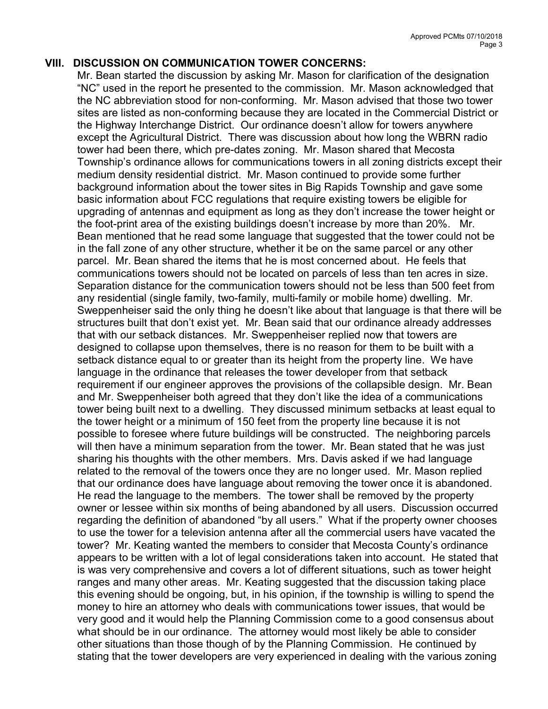#### VIII. DISCUSSION ON COMMUNICATION TOWER CONCERNS:

Mr. Bean started the discussion by asking Mr. Mason for clarification of the designation "NC" used in the report he presented to the commission. Mr. Mason acknowledged that the NC abbreviation stood for non-conforming. Mr. Mason advised that those two tower sites are listed as non-conforming because they are located in the Commercial District or the Highway Interchange District. Our ordinance doesn't allow for towers anywhere except the Agricultural District. There was discussion about how long the WBRN radio tower had been there, which pre-dates zoning. Mr. Mason shared that Mecosta Township's ordinance allows for communications towers in all zoning districts except their medium density residential district. Mr. Mason continued to provide some further background information about the tower sites in Big Rapids Township and gave some basic information about FCC regulations that require existing towers be eligible for upgrading of antennas and equipment as long as they don't increase the tower height or the foot-print area of the existing buildings doesn't increase by more than 20%. Mr. Bean mentioned that he read some language that suggested that the tower could not be in the fall zone of any other structure, whether it be on the same parcel or any other parcel. Mr. Bean shared the items that he is most concerned about. He feels that communications towers should not be located on parcels of less than ten acres in size. Separation distance for the communication towers should not be less than 500 feet from any residential (single family, two-family, multi-family or mobile home) dwelling. Mr. Sweppenheiser said the only thing he doesn't like about that language is that there will be structures built that don't exist yet. Mr. Bean said that our ordinance already addresses that with our setback distances. Mr. Sweppenheiser replied now that towers are designed to collapse upon themselves, there is no reason for them to be built with a setback distance equal to or greater than its height from the property line. We have language in the ordinance that releases the tower developer from that setback requirement if our engineer approves the provisions of the collapsible design. Mr. Bean and Mr. Sweppenheiser both agreed that they don't like the idea of a communications tower being built next to a dwelling. They discussed minimum setbacks at least equal to the tower height or a minimum of 150 feet from the property line because it is not possible to foresee where future buildings will be constructed. The neighboring parcels will then have a minimum separation from the tower. Mr. Bean stated that he was just sharing his thoughts with the other members. Mrs. Davis asked if we had language related to the removal of the towers once they are no longer used. Mr. Mason replied that our ordinance does have language about removing the tower once it is abandoned. He read the language to the members. The tower shall be removed by the property owner or lessee within six months of being abandoned by all users. Discussion occurred regarding the definition of abandoned "by all users." What if the property owner chooses to use the tower for a television antenna after all the commercial users have vacated the tower? Mr. Keating wanted the members to consider that Mecosta County's ordinance appears to be written with a lot of legal considerations taken into account. He stated that is was very comprehensive and covers a lot of different situations, such as tower height ranges and many other areas. Mr. Keating suggested that the discussion taking place this evening should be ongoing, but, in his opinion, if the township is willing to spend the money to hire an attorney who deals with communications tower issues, that would be very good and it would help the Planning Commission come to a good consensus about what should be in our ordinance. The attorney would most likely be able to consider other situations than those though of by the Planning Commission. He continued by stating that the tower developers are very experienced in dealing with the various zoning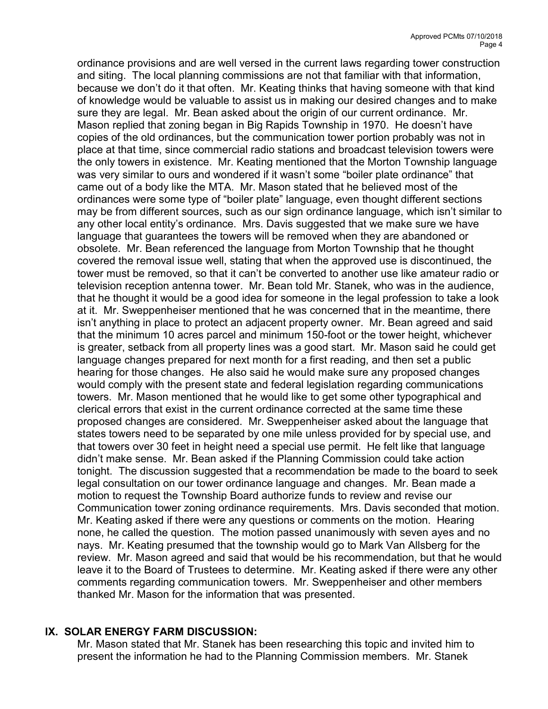ordinance provisions and are well versed in the current laws regarding tower construction and siting. The local planning commissions are not that familiar with that information, because we don't do it that often. Mr. Keating thinks that having someone with that kind of knowledge would be valuable to assist us in making our desired changes and to make sure they are legal. Mr. Bean asked about the origin of our current ordinance. Mr. Mason replied that zoning began in Big Rapids Township in 1970. He doesn't have copies of the old ordinances, but the communication tower portion probably was not in place at that time, since commercial radio stations and broadcast television towers were the only towers in existence. Mr. Keating mentioned that the Morton Township language was very similar to ours and wondered if it wasn't some "boiler plate ordinance" that came out of a body like the MTA. Mr. Mason stated that he believed most of the ordinances were some type of "boiler plate" language, even thought different sections may be from different sources, such as our sign ordinance language, which isn't similar to any other local entity's ordinance. Mrs. Davis suggested that we make sure we have language that guarantees the towers will be removed when they are abandoned or obsolete. Mr. Bean referenced the language from Morton Township that he thought covered the removal issue well, stating that when the approved use is discontinued, the tower must be removed, so that it can't be converted to another use like amateur radio or television reception antenna tower. Mr. Bean told Mr. Stanek, who was in the audience, that he thought it would be a good idea for someone in the legal profession to take a look at it. Mr. Sweppenheiser mentioned that he was concerned that in the meantime, there isn't anything in place to protect an adjacent property owner. Mr. Bean agreed and said that the minimum 10 acres parcel and minimum 150-foot or the tower height, whichever is greater, setback from all property lines was a good start. Mr. Mason said he could get language changes prepared for next month for a first reading, and then set a public hearing for those changes. He also said he would make sure any proposed changes would comply with the present state and federal legislation regarding communications towers. Mr. Mason mentioned that he would like to get some other typographical and clerical errors that exist in the current ordinance corrected at the same time these proposed changes are considered. Mr. Sweppenheiser asked about the language that states towers need to be separated by one mile unless provided for by special use, and that towers over 30 feet in height need a special use permit. He felt like that language didn't make sense. Mr. Bean asked if the Planning Commission could take action tonight. The discussion suggested that a recommendation be made to the board to seek legal consultation on our tower ordinance language and changes. Mr. Bean made a motion to request the Township Board authorize funds to review and revise our Communication tower zoning ordinance requirements. Mrs. Davis seconded that motion. Mr. Keating asked if there were any questions or comments on the motion. Hearing none, he called the question. The motion passed unanimously with seven ayes and no nays. Mr. Keating presumed that the township would go to Mark Van Allsberg for the review. Mr. Mason agreed and said that would be his recommendation, but that he would leave it to the Board of Trustees to determine. Mr. Keating asked if there were any other comments regarding communication towers. Mr. Sweppenheiser and other members thanked Mr. Mason for the information that was presented.

# IX. SOLAR ENERGY FARM DISCUSSION:

Mr. Mason stated that Mr. Stanek has been researching this topic and invited him to present the information he had to the Planning Commission members. Mr. Stanek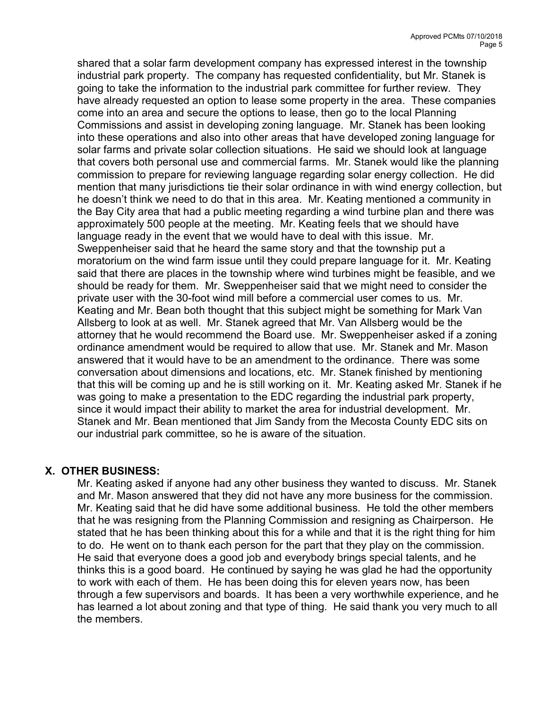shared that a solar farm development company has expressed interest in the township industrial park property. The company has requested confidentiality, but Mr. Stanek is going to take the information to the industrial park committee for further review. They have already requested an option to lease some property in the area. These companies come into an area and secure the options to lease, then go to the local Planning Commissions and assist in developing zoning language. Mr. Stanek has been looking into these operations and also into other areas that have developed zoning language for solar farms and private solar collection situations. He said we should look at language that covers both personal use and commercial farms. Mr. Stanek would like the planning commission to prepare for reviewing language regarding solar energy collection. He did mention that many jurisdictions tie their solar ordinance in with wind energy collection, but he doesn't think we need to do that in this area. Mr. Keating mentioned a community in the Bay City area that had a public meeting regarding a wind turbine plan and there was approximately 500 people at the meeting. Mr. Keating feels that we should have language ready in the event that we would have to deal with this issue. Mr. Sweppenheiser said that he heard the same story and that the township put a moratorium on the wind farm issue until they could prepare language for it. Mr. Keating said that there are places in the township where wind turbines might be feasible, and we should be ready for them. Mr. Sweppenheiser said that we might need to consider the private user with the 30-foot wind mill before a commercial user comes to us. Mr. Keating and Mr. Bean both thought that this subject might be something for Mark Van Allsberg to look at as well. Mr. Stanek agreed that Mr. Van Allsberg would be the attorney that he would recommend the Board use. Mr. Sweppenheiser asked if a zoning ordinance amendment would be required to allow that use. Mr. Stanek and Mr. Mason answered that it would have to be an amendment to the ordinance. There was some conversation about dimensions and locations, etc. Mr. Stanek finished by mentioning that this will be coming up and he is still working on it. Mr. Keating asked Mr. Stanek if he was going to make a presentation to the EDC regarding the industrial park property, since it would impact their ability to market the area for industrial development. Mr. Stanek and Mr. Bean mentioned that Jim Sandy from the Mecosta County EDC sits on our industrial park committee, so he is aware of the situation.

# X. OTHER BUSINESS:

Mr. Keating asked if anyone had any other business they wanted to discuss. Mr. Stanek and Mr. Mason answered that they did not have any more business for the commission. Mr. Keating said that he did have some additional business. He told the other members that he was resigning from the Planning Commission and resigning as Chairperson. He stated that he has been thinking about this for a while and that it is the right thing for him to do. He went on to thank each person for the part that they play on the commission. He said that everyone does a good job and everybody brings special talents, and he thinks this is a good board. He continued by saying he was glad he had the opportunity to work with each of them. He has been doing this for eleven years now, has been through a few supervisors and boards. It has been a very worthwhile experience, and he has learned a lot about zoning and that type of thing. He said thank you very much to all the members.